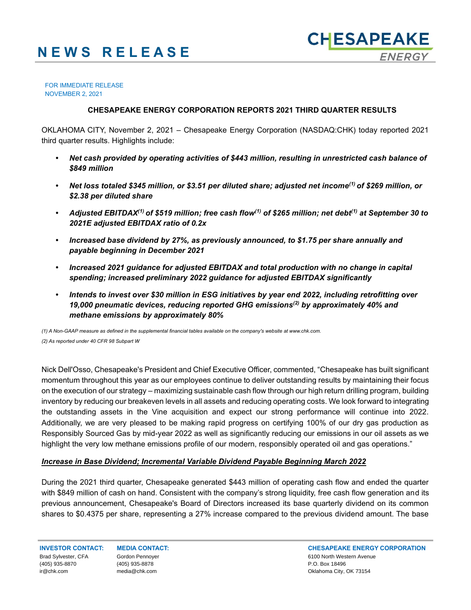#### FOR IMMEDIATE RELEASE NOVEMBER 2, 2021

## **CHESAPEAKE ENERGY CORPORATION REPORTS 2021 THIRD QUARTER RESULTS**

OKLAHOMA CITY, November 2, 2021 – Chesapeake Energy Corporation (NASDAQ:CHK) today reported 2021 third quarter results. Highlights include:

- *• Net cash provided by operating activities of \$443 million, resulting in unrestricted cash balance of \$849 million*
- *• Net loss totaled \$345 million, or \$3.51 per diluted share; adjusted net income(1) of \$269 million, or \$2.38 per diluted share*
- *• Adjusted EBITDAX(1) of \$519 million; free cash flow(1) of \$265 million; net debt(1) at September 30 to 2021E adjusted EBITDAX ratio of 0.2x*
- *• Increased base dividend by 27%, as previously announced, to \$1.75 per share annually and payable beginning in December 2021*
- *• Increased 2021 guidance for adjusted EBITDAX and total production with no change in capital spending; increased preliminary 2022 guidance for adjusted EBITDAX significantly*
- *• Intends to invest over \$30 million in ESG initiatives by year end 2022, including retrofitting over 19,000 pneumatic devices, reducing reported GHG emissions(2) by approximately 40% and methane emissions by approximately 80%*

*(1) A Non-GAAP measure as defined in the supplemental financial tables available on the company's website at www.chk.com. (2) As reported under 40 CFR 98 Subpart W*

Nick Dell'Osso, Chesapeake's President and Chief Executive Officer, commented, "Chesapeake has built significant momentum throughout this year as our employees continue to deliver outstanding results by maintaining their focus on the execution of our strategy – maximizing sustainable cash flow through our high return drilling program, building inventory by reducing our breakeven levels in all assets and reducing operating costs. We look forward to integrating the outstanding assets in the Vine acquisition and expect our strong performance will continue into 2022. Additionally, we are very pleased to be making rapid progress on certifying 100% of our dry gas production as Responsibly Sourced Gas by mid-year 2022 as well as significantly reducing our emissions in our oil assets as we highlight the very low methane emissions profile of our modern, responsibly operated oil and gas operations."

## *Increase in Base Dividend; Incremental Variable Dividend Payable Beginning March 2022*

During the 2021 third quarter, Chesapeake generated \$443 million of operating cash flow and ended the quarter with \$849 million of cash on hand. Consistent with the company's strong liquidity, free cash flow generation and its previous announcement, Chesapeake's Board of Directors increased its base quarterly dividend on its common shares to \$0.4375 per share, representing a 27% increase compared to the previous dividend amount. The base

Brad Sylvester, CFA (405) 935-8870 ir@chk.com

Gordon Pennoyer (405) 935-8878 media@chk.com

**INVESTOR CONTACT: MEDIA CONTACT: CHESAPEAKE ENERGY CORPORATION** 6100 North Western Avenue P.O. Box 18496 Oklahoma City, OK 73154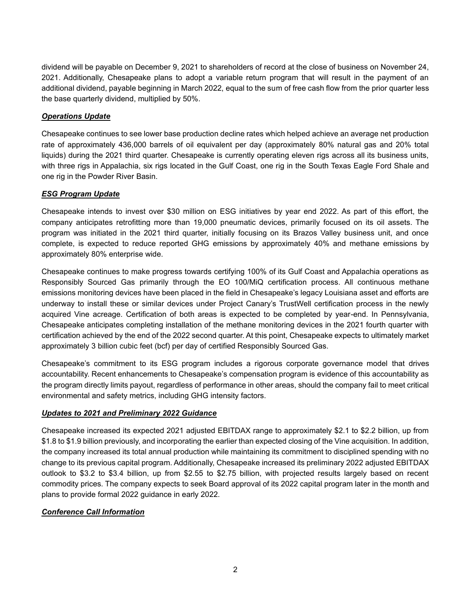dividend will be payable on December 9, 2021 to shareholders of record at the close of business on November 24, 2021. Additionally, Chesapeake plans to adopt a variable return program that will result in the payment of an additional dividend, payable beginning in March 2022, equal to the sum of free cash flow from the prior quarter less the base quarterly dividend, multiplied by 50%.

# *Operations Update*

Chesapeake continues to see lower base production decline rates which helped achieve an average net production rate of approximately 436,000 barrels of oil equivalent per day (approximately 80% natural gas and 20% total liquids) during the 2021 third quarter. Chesapeake is currently operating eleven rigs across all its business units, with three rigs in Appalachia, six rigs located in the Gulf Coast, one rig in the South Texas Eagle Ford Shale and one rig in the Powder River Basin.

# *ESG Program Update*

Chesapeake intends to invest over \$30 million on ESG initiatives by year end 2022. As part of this effort, the company anticipates retrofitting more than 19,000 pneumatic devices, primarily focused on its oil assets. The program was initiated in the 2021 third quarter, initially focusing on its Brazos Valley business unit, and once complete, is expected to reduce reported GHG emissions by approximately 40% and methane emissions by approximately 80% enterprise wide.

Chesapeake continues to make progress towards certifying 100% of its Gulf Coast and Appalachia operations as Responsibly Sourced Gas primarily through the EO 100/MiQ certification process. All continuous methane emissions monitoring devices have been placed in the field in Chesapeake's legacy Louisiana asset and efforts are underway to install these or similar devices under Project Canary's TrustWell certification process in the newly acquired Vine acreage. Certification of both areas is expected to be completed by year-end. In Pennsylvania, Chesapeake anticipates completing installation of the methane monitoring devices in the 2021 fourth quarter with certification achieved by the end of the 2022 second quarter. At this point, Chesapeake expects to ultimately market approximately 3 billion cubic feet (bcf) per day of certified Responsibly Sourced Gas.

Chesapeake's commitment to its ESG program includes a rigorous corporate governance model that drives accountability. Recent enhancements to Chesapeake's compensation program is evidence of this accountability as the program directly limits payout, regardless of performance in other areas, should the company fail to meet critical environmental and safety metrics, including GHG intensity factors.

## *Updates to 2021 and Preliminary 2022 Guidance*

Chesapeake increased its expected 2021 adjusted EBITDAX range to approximately \$2.1 to \$2.2 billion, up from \$1.8 to \$1.9 billion previously, and incorporating the earlier than expected closing of the Vine acquisition. In addition, the company increased its total annual production while maintaining its commitment to disciplined spending with no change to its previous capital program. Additionally, Chesapeake increased its preliminary 2022 adjusted EBITDAX outlook to \$3.2 to \$3.4 billion, up from \$2.55 to \$2.75 billion, with projected results largely based on recent commodity prices. The company expects to seek Board approval of its 2022 capital program later in the month and plans to provide formal 2022 guidance in early 2022.

## *Conference Call Information*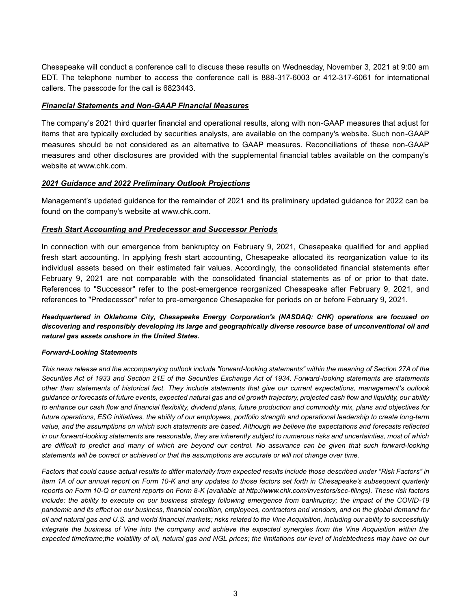Chesapeake will conduct a conference call to discuss these results on Wednesday, November 3, 2021 at 9:00 am EDT. The telephone number to access the conference call is 888-317-6003 or 412-317-6061 for international callers. The passcode for the call is 6823443.

## *Financial Statements and Non-GAAP Financial Measures*

The company's 2021 third quarter financial and operational results, along with non-GAAP measures that adjust for items that are typically excluded by securities analysts, are available on the company's website. Such non-GAAP measures should be not considered as an alternative to GAAP measures. Reconciliations of these non-GAAP measures and other disclosures are provided with the supplemental financial tables available on the company's website at www.chk.com.

## *2021 Guidance and 2022 Preliminary Outlook Projections*

Management's updated guidance for the remainder of 2021 and its preliminary updated guidance for 2022 can be found on the company's website at www.chk.com.

## *Fresh Start Accounting and Predecessor and Successor Periods*

In connection with our emergence from bankruptcy on February 9, 2021, Chesapeake qualified for and applied fresh start accounting. In applying fresh start accounting, Chesapeake allocated its reorganization value to its individual assets based on their estimated fair values. Accordingly, the consolidated financial statements after February 9, 2021 are not comparable with the consolidated financial statements as of or prior to that date. References to "Successor" refer to the post-emergence reorganized Chesapeake after February 9, 2021, and references to "Predecessor" refer to pre-emergence Chesapeake for periods on or before February 9, 2021.

## *Headquartered in Oklahoma City, Chesapeake Energy Corporation's (NASDAQ: CHK) operations are focused on discovering and responsibly developing its large and geographically diverse resource base of unconventional oil and natural gas assets onshore in the United States.*

#### *Forward-Looking Statements*

*This news release and the accompanying outlook include "forward-looking statements" within the meaning of Section 27A of the Securities Act of 1933 and Section 21E of the Securities Exchange Act of 1934. Forward-looking statements are statements other than statements of historical fact. They include statements that give our current expectations, management's outlook guidance or forecasts of future events, expected natural gas and oil growth trajectory, projected cash flow and liquidity, our ability to enhance our cash flow and financial flexibility, dividend plans, future production and commodity mix, plans and objectives for future operations, ESG initiatives, the ability of our employees, portfolio strength and operational leadership to create long-term value, and the assumptions on which such statements are based. Although we believe the expectations and forecasts reflected in our forward-looking statements are reasonable, they are inherently subject to numerous risks and uncertainties, most of which are difficult to predict and many of which are beyond our control. No assurance can be given that such forward-looking statements will be correct or achieved or that the assumptions are accurate or will not change over time.*

*Factors that could cause actual results to differ materially from expected results include those described under "Risk Factors" in Item 1A of our annual report on Form 10-K and any updates to those factors set forth in Chesapeake's subsequent quarterly reports on Form 10-Q or current reports on Form 8-K (available at http://www.chk.com/investors/sec-filings). These risk factors include: the ability to execute on our business strategy following emergence from bankruptcy; the impact of the COVID-19 pandemic and its effect on our business, financial condition, employees, contractors and vendors, and on the global demand for oil and natural gas and U.S. and world financial markets; risks related to the Vine Acquisition, including our ability to successfully integrate the business of Vine into the company and achieve the expected synergies from the Vine Acquisition within the expected timeframe;the volatility of oil, natural gas and NGL prices; the limitations our level of indebtedness may have on our*